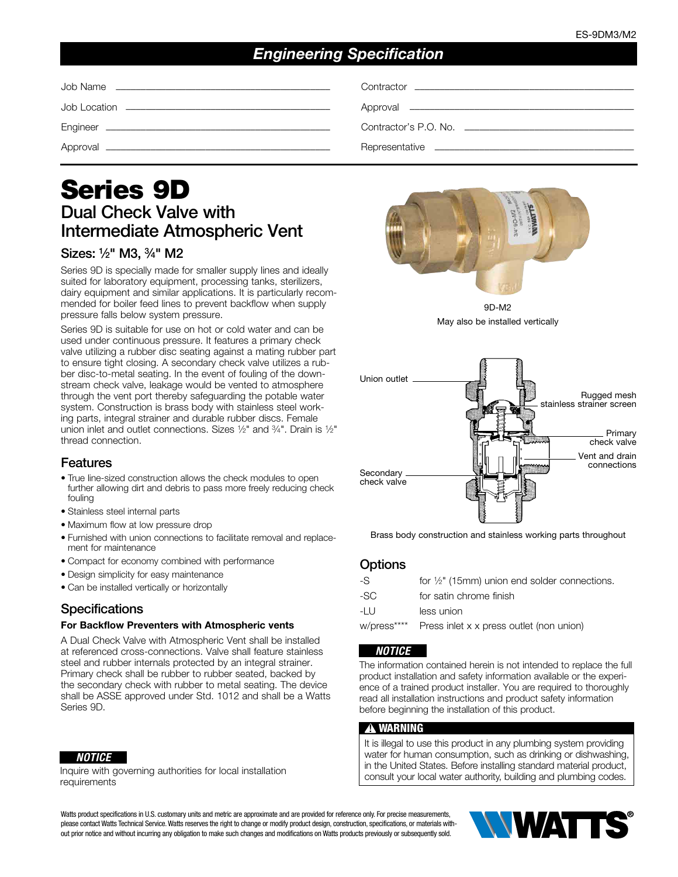# *Engineering Specification*

# Series 9D Dual Check Valve with Intermediate Atmospheric Vent

# Sizes: 1⁄2" M3, 3⁄4" M2

Series 9D is specially made for smaller supply lines and ideally suited for laboratory equipment, processing tanks, sterilizers, dairy equipment and similar applications. It is particularly recommended for boiler feed lines to prevent backflow when supply pressure falls below system pressure.

Series 9D is suitable for use on hot or cold water and can be used under continuous pressure. It features a primary check valve utilizing a rubber disc seating against a mating rubber part to ensure tight closing. A secondary check valve utilizes a rubber disc-to-metal seating. In the event of fouling of the downstream check valve, leakage would be vented to atmosphere through the vent port thereby safeguarding the potable water system. Construction is brass body with stainless steel working parts, integral strainer and durable rubber discs. Female union inlet and outlet connections. Sizes 1/2" and 3/4". Drain is 1/2" thread connection.

# Features

- True line-sized construction allows the check modules to open further allowing dirt and debris to pass more freely reducing check fouling
- Stainless steel internal parts
- Maximum flow at low pressure drop
- Furnished with union connections to facilitate removal and replacement for maintenance
- Compact for economy combined with performance
- Design simplicity for easy maintenance
- Can be installed vertically or horizontally

# **Specifications**

#### For Backflow Preventers with Atmospheric vents

A Dual Check Valve with Atmospheric Vent shall be installed at referenced cross-connections. Valve shall feature stainless steel and rubber internals protected by an integral strainer. Primary check shall be rubber to rubber seated, backed by the secondary check with rubber to metal seating. The device shall be ASSE approved under Std. 1012 and shall be a Watts Series 9D.

#### *NOTICE*

Inquire with governing authorities for local installation requirements



9D-M2 May also be installed vertically



Brass body construction and stainless working parts throughout

### **Options**

| -S          | for $\frac{1}{2}$ " (15mm) union end solder connections. |
|-------------|----------------------------------------------------------|
| -SC         | for satin chrome finish                                  |
| -I U        | less union                                               |
| w/press**** | Press inlet x x press outlet (non union)                 |
|             |                                                          |

### *NOTICE*

The information contained herein is not intended to replace the full product installation and safety information available or the experience of a trained product installer. You are required to thoroughly read all installation instructions and product safety information before beginning the installation of this product.

#### $\mathbf A$  warning

It is illegal to use this product in any plumbing system providing water for human consumption, such as drinking or dishwashing, in the United States. Before installing standard material product, consult your local water authority, building and plumbing codes.

Watts product specifications in U.S. customary units and metric are approximate and are provided for reference only. For precise measurements, please contact Watts Technical Service. Watts reserves the right to change or modify product design, construction, specifications, or materials without prior notice and without incurring any obligation to make such changes and modifications on Watts products previously or subsequently sold.